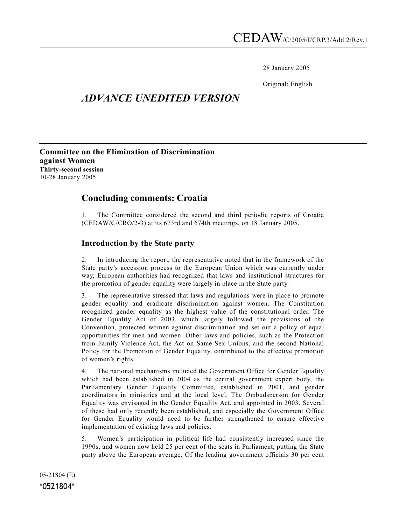28 January 2005

Original: English

# ADVANCE UNEDITED VERSION

Committee on the Elimination of Discrimination against Women Thirty-second session 10-28 January 2005

## Concluding comments: Croatia

1. The Committee considered the second and third periodic reports of Croatia (CEDAW/C/CRO/2-3) at its 673rd and 674th meetings, on 18 January 2005.

## Introduction by the State party

2. In introducing the report, the representative noted that in the framework of the State party's accession process to the European Union which was currently under way, European authorities had recognized that laws and institutional structures for the promotion of gender equality were largely in place in the State party.

3. The representative stressed that laws and regulations were in place to promote gender equality and eradicate discrimination against women. The Constitution recognized gender equality as the highest value of the constitutional order. The Gender Equality Act of 2003, which largely followed the provisions of the Convention, protected women against discrimination and set out a policy of equal opportunities for men and women. Other laws and policies, such as the Protection from Family Violence Act, the Act on Same-Sex Unions, and the second National Policy for the Promotion of Gender Equality, contributed to the effective promotion of women's rights.

4. The national mechanisms included the Government Office for Gender Equality which had been established in 2004 as the central government expert body, the Parliamentary Gender Equality Committee, established in 2001, and gender coordinators in ministries and at the local level. The Ombudsperson for Gender Equality was envisaged in the Gender Equality Act, and appointed in 2003. Several of these had only recently been established, and especially the Government Office for Gender Equality would need to be further strengthened to ensure effective implementation of existing laws and policies.

5. Women's participation in political life had consistently increased since the 1990s, and women now held 25 per cent of the seats in Parliament, putting the State party above the European average. Of the leading government officials 30 per cent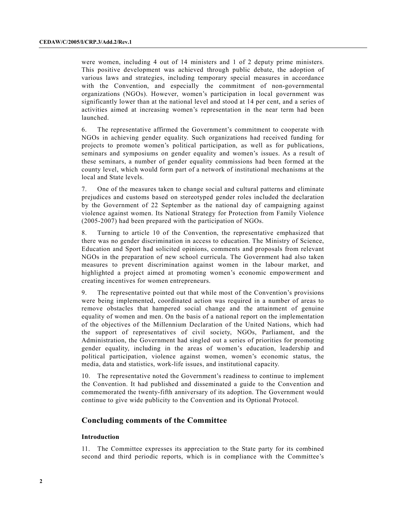were women, including 4 out of 14 ministers and 1 of 2 deputy prime ministers. This positive development was achieved through public debate, the adoption of various laws and strategies, including temporary special measures in accordance with the Convention, and especially the commitment of non-governmental organizations (NGOs). However, women's participation in local government was significantly lower than at the national level and stood at 14 per cent, and a series of activities aimed at increasing women's representation in the near term had been launched.

6. The representative affirmed the Government's commitment to cooperate with NGOs in achieving gender equality. Such organizations had received funding for projects to promote women's political participation, as well as for publications, seminars and symposiums on gender equality and women's issues. As a result of these seminars, a number of gender equality commissions had been formed at the county level, which would form part of a network of institutional mechanisms at the local and State levels.

7. One of the measures taken to change social and cultural patterns and eliminate prejudices and customs based on stereotyped gender roles included the declaration by the Government of 22 September as the national day of campaigning against violence against women. Its National Strategy for Protection from Family Violence (2005-2007) had been prepared with the participation of NGOs.

8. Turning to article 10 of the Convention, the representative emphasized that there was no gender discrimination in access to education. The Ministry of Science, Education and Sport had solicited opinions, comments and proposals from relevant NGOs in the preparation of new school curricula. The Government had also taken measures to prevent discrimination against women in the labour market, and highlighted a project aimed at promoting women's economic empowerment and creating incentives for women entrepreneurs.

9. The representative pointed out that while most of the Convention's provisions were being implemented, coordinated action was required in a number of areas to remove obstacles that hampered social change and the attainment of genuine equality of women and men. On the basis of a national report on the implementation of the objectives of the Millennium Declaration of the United Nations, which had the support of representatives of civil society, NGOs, Parliament, and the Administration, the Government had singled out a series of priorities for promoting gender equality, including in the areas of women's education, leadership and political participation, violence against women, women's economic status, the media, data and statistics, work-life issues, and institutional capacity.

10. The representative noted the Government's readiness to continue to implement the Convention. It had published and disseminated a guide to the Convention and commemorated the twenty-fifth anniversary of its adoption. The Government would continue to give wide publicity to the Convention and its Optional Protocol.

### Concluding comments of the Committee

#### Introduction

11. The Committee expresses its appreciation to the State party for its combined second and third periodic reports, which is in compliance with the Committee's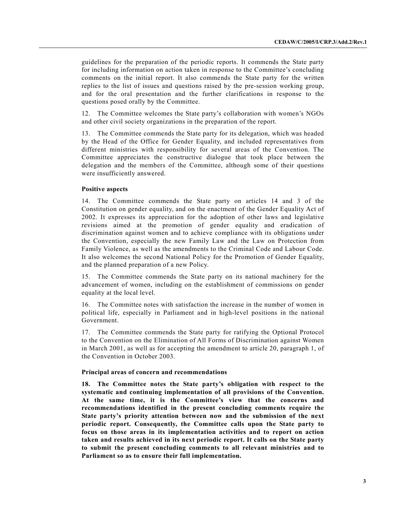guidelines for the preparation of the periodic reports. It commends the State party for including information on action taken in response to the Committee's concluding comments on the initial report. It also commends the State party for the written replies to the list of issues and questions raised by the pre-session working group, and for the oral presentation and the further clarifications in response to the questions posed orally by the Committee.

12. The Committee welcomes the State party's collaboration with women's NGOs and other civil society organizations in the preparation of the report.

13. The Committee commends the State party for its delegation, which was headed by the Head of the Office for Gender Equality, and included representatives from different ministries with responsibility for several areas of the Convention. The Committee appreciates the constructive dialogue that took place between the delegation and the members of the Committee, although some of their questions were insufficiently answered.

#### Positive aspects

14. The Committee commends the State party on articles 14 and 3 of the Constitution on gender equality, and on the enactment of the Gender Equality Act of 2002. It expresses its appreciation for the adoption of other laws and legislative revisions aimed at the promotion of gender equality and eradication of discrimination against women and to achieve compliance with its obligations under the Convention, especially the new Family Law and the Law on Protection from Family Violence, as well as the amendments to the Criminal Code and Labour Code. It also welcomes the second National Policy for the Promotion of Gender Equality, and the planned preparation of a new Policy.

15. The Committee commends the State party on its national machinery for the advancement of women, including on the establishment of commissions on gender equality at the local level.

16. The Committee notes with satisfaction the increase in the number of women in political life, especially in Parliament and in high-level positions in the national Government.

17. The Committee commends the State party for ratifying the Optional Protocol to the Convention on the Elimination of All Forms of Discrimination against Women in March 2001, as well as for accepting the amendment to article 20, paragraph 1, of the Convention in October 2003.

#### Principal areas of concern and recommendations

18. The Committee notes the State party's obligation with respect to the systematic and continuing implementation of all provisions of the Convention. At the same time, it is the Committee's view that the concerns and recommendations identified in the present concluding comments require the State party's priority attention between now and the submission of the next periodic report. Consequently, the Committee calls upon the State party to focus on those areas in its implementation activities and to report on action taken and results achieved in its next periodic report. It calls on the State party to submit the present concluding comments to all relevant ministries and to Parliament so as to ensure their full implementation.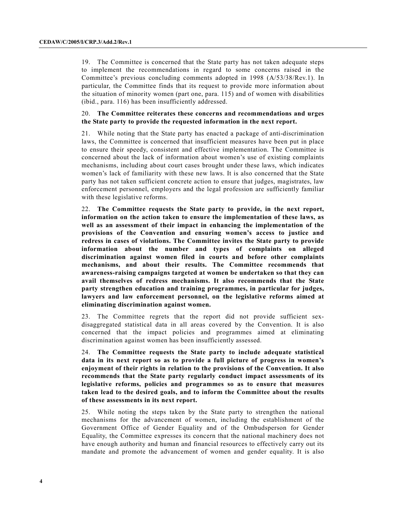19. The Committee is concerned that the State party has not taken adequate steps to implement the recommendations in regard to some concerns raised in the Committee's previous concluding comments adopted in 1998 (A/53/38/Rev.1). In particular, the Committee finds that its request to provide more information about the situation of minority women (part one, para. 115) and of women with disabilities (ibid., para. 116) has been insufficiently addressed.

#### 20. The Committee reiterates these concerns and recommendations and urges the State party to provide the requested information in the next report.

21. While noting that the State party has enacted a package of anti-discrimination laws, the Committee is concerned that insufficient measures have been put in place to ensure their speedy, consistent and effective implementation. The Committee is concerned about the lack of information about women's use of existing complaints mechanisms, including about court cases brought under these laws, which indicates women's lack of familiarity with these new laws. It is also concerned that the State party has not taken sufficient concrete action to ensure that judges, magistrates, law enforcement personnel, employers and the legal profession are sufficiently familiar with these legislative reforms.

22. The Committee requests the State party to provide, in the next report, information on the action taken to ensure the implementation of these laws, as well as an assessment of their impact in enhancing the implementation of the provisions of the Convention and ensuring women's access to justice and redress in cases of violations. The Committee invites the State party to provide information about the number and types of complaints on alleged discrimination against women filed in courts and before other complaints mechanisms, and about their results. The Committee recommends that awareness-raising campaigns targeted at women be undertaken so that they can avail themselves of redress mechanisms. It also recommends that the State party strengthen education and training programmes, in particular for judges, lawyers and law enforcement personnel, on the legislative reforms aimed at eliminating discrimination against women.

23. The Committee regrets that the report did not provide sufficient sexdisaggregated statistical data in all areas covered by the Convention. It is also concerned that the impact policies and programmes aimed at eliminating discrimination against women has been insufficiently assessed.

24. The Committee requests the State party to include adequate statistical data in its next report so as to provide a full picture of progress in women's enjoyment of their rights in relation to the provisions of the Convention. It also recommends that the State party regularly conduct impact assessments of its legislative reforms, policies and programmes so as to ensure that measures taken lead to the desired goals, and to inform the Committee about the results of these assessments in its next report.

25. While noting the steps taken by the State party to strengthen the national mechanisms for the advancement of women, including the establishment of the Government Office of Gender Equality and of the Ombudsperson for Gender Equality, the Committee expresses its concern that the national machinery does not have enough authority and human and financial resources to effectively carry out its mandate and promote the advancement of women and gender equality. It is also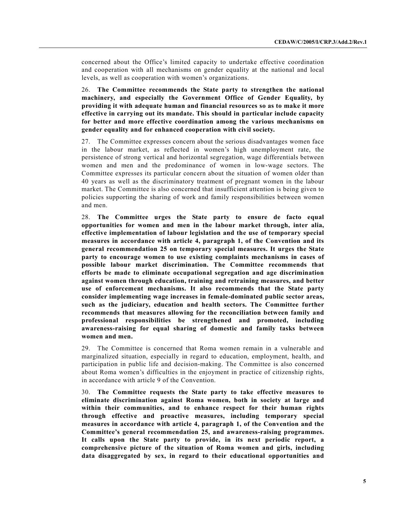concerned about the Office's limited capacity to undertake effective coordination and cooperation with all mechanisms on gender equality at the national and local levels, as well as cooperation with women's organizations.

26. The Committee recommends the State party to strengthen the national machinery, and especially the Government Office of Gender Equality, by providing it with adequate human and financial resources so as to make it more effective in carrying out its mandate. This should in particular include capacity for better and more effective coordination among the various mechanisms on gender equality and for enhanced cooperation with civil society.

27. The Committee expresses concern about the serious disadvantages women face in the labour market, as reflected in women's high unemployment rate, the persistence of strong vertical and horizontal segregation, wage differentials between women and men and the predominance of women in low-wage sectors. The Committee expresses its particular concern about the situation of women older than 40 years as well as the discriminatory treatment of pregnant women in the labour market. The Committee is also concerned that insufficient attention is being given to policies supporting the sharing of work and family responsibilities between women and men.

28. The Committee urges the State party to ensure de facto equal opportunities for women and men in the labour market through, inter alia, effective implementation of labour legislation and the use of temporary special measures in accordance with article 4, paragraph 1, of the Convention and its general recommendation 25 on temporary special measures. It urges the State party to encourage women to use existing complaints mechanisms in cases of possible labour market discrimination. The Committee recommends that efforts be made to eliminate occupational segregation and age discrimination against women through education, training and retraining measures, and better use of enforcement mechanisms. It also recommends that the State party consider implementing wage increases in female-dominated public sector areas, such as the judiciary, education and health sectors. The Committee further recommends that measures allowing for the reconciliation between family and professional responsibilities be strengthened and promoted, including awareness-raising for equal sharing of domestic and family tasks between women and men.

29. The Committee is concerned that Roma women remain in a vulnerable and marginalized situation, especially in regard to education, employment, health, and participation in public life and decision-making. The Committee is also concerned about Roma women's difficulties in the enjoyment in practice of citizenship rights, in accordance with article 9 of the Convention.

30. The Committee requests the State party to take effective measures to eliminate discrimination against Roma women, both in society at large and within their communities, and to enhance respect for their human rights through effective and proactive measures, including temporary special measures in accordance with article 4, paragraph 1, of the Convention and the Committee's general recommendation 25, and awareness-raising programmes. It calls upon the State party to provide, in its next periodic report, a comprehensive picture of the situation of Roma women and girls, including data disaggregated by sex, in regard to their educational opportunities and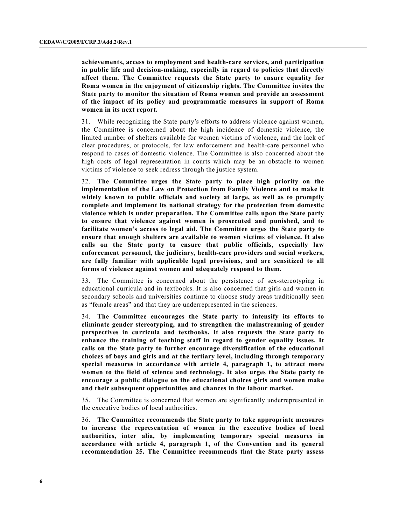achievements, access to employment and health-care services, and participation in public life and decision-making, especially in regard to policies that directly affect them. The Committee requests the State party to ensure equality for Roma women in the enjoyment of citizenship rights. The Committee invites the State party to monitor the situation of Roma women and provide an assessment of the impact of its policy and programmatic measures in support of Roma women in its next report.

31. While recognizing the State party's efforts to address violence against women, the Committee is concerned about the high incidence of domestic violence, the limited number of shelters available for women victims of violence, and the lack of clear procedures, or protocols, for law enforcement and health-care personnel who respond to cases of domestic violence. The Committee is also concerned about the high costs of legal representation in courts which may be an obstacle to women victims of violence to seek redress through the justice system.

32. The Committee urges the State party to place high priority on the implementation of the Law on Protection from Family Violence and to make it widely known to public officials and society at large, as well as to promptly complete and implement its national strategy for the protection from domestic violence which is under preparation. The Committee calls upon the State party to ensure that violence against women is prosecuted and punished, and to facilitate women's access to legal aid. The Committee urges the State party to ensure that enough shelters are available to women victims of violence. It also calls on the State party to ensure that public officials, especially law enforcement personnel, the judiciary, health-care providers and social workers, are fully familiar with applicable legal provisions, and are sensitized to all forms of violence against women and adequately respond to them.

33. The Committee is concerned about the persistence of sex-stereotyping in educational curricula and in textbooks. It is also concerned that girls and women in secondary schools and universities continue to choose study areas traditionally seen as "female areas" and that they are underrepresented in the sciences.

34. The Committee encourages the State party to intensify its efforts to eliminate gender stereotyping, and to strengthen the mainstreaming of gender perspectives in curricula and textbooks. It also requests the State party to enhance the training of teaching staff in regard to gender equality issues. It calls on the State party to further encourage diversification of the educational choices of boys and girls and at the tertiary level, including through temporary special measures in accordance with article 4, paragraph 1, to attract more women to the field of science and technology. It also urges the State party to encourage a public dialogue on the educational choices girls and women make and their subsequent opportunities and chances in the labour market.

35. The Committee is concerned that women are significantly underrepresented in the executive bodies of local authorities.

36. The Committee recommends the State party to take appropriate measures to increase the representation of women in the executive bodies of local authorities, inter alia, by implementing temporary special measures in accordance with article 4, paragraph 1, of the Convention and its general recommendation 25. The Committee recommends that the State party assess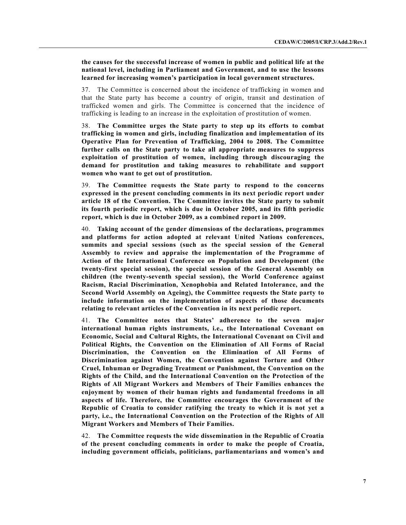the causes for the successful increase of women in public and political life at the national level, including in Parliament and Government, and to use the lessons learned for increasing women's participation in local government structures.

37. The Committee is concerned about the incidence of trafficking in women and that the State party has become a country of origin, transit and destination of trafficked women and girls. The Committee is concerned that the incidence of trafficking is leading to an increase in the exploitation of prostitution of women.

38. The Committee urges the State party to step up its efforts to combat trafficking in women and girls, including finalization and implementation of its Operative Plan for Prevention of Trafficking, 2004 to 2008. The Committee further calls on the State party to take all appropriate measures to suppress exploitation of prostitution of women, including through discouraging the demand for prostitution and taking measures to rehabilitate and support women who want to get out of prostitution.

39. The Committee requests the State party to respond to the concerns expressed in the present concluding comments in its next periodic report under article 18 of the Convention. The Committee invites the State party to submit its fourth periodic report, which is due in October 2005, and its fifth periodic report, which is due in October 2009, as a combined report in 2009.

40. Taking account of the gender dimensions of the declarations, programmes and platforms for action adopted at relevant United Nations conferences, summits and special sessions (such as the special session of the General Assembly to review and appraise the implementation of the Programme of Action of the International Conference on Population and Development (the twenty-first special session), the special session of the General Assembly on children (the twenty-seventh special session), the World Conference against Racism, Racial Discrimination, Xenophobia and Related Intolerance, and the Second World Assembly on Ageing), the Committee requests the State party to include information on the implementation of aspects of those documents relating to relevant articles of the Convention in its next periodic report.

41. The Committee notes that States' adherence to the seven major international human rights instruments, i.e., the International Covenant on Economic, Social and Cultural Rights, the International Covenant on Civil and Political Rights, the Convention on the Elimination of All Forms of Racial Discrimination, the Convention on the Elimination of All Forms of Discrimination against Women, the Convention against Torture and Other Cruel, Inhuman or Degrading Treatment or Punishment, the Convention on the Rights of the Child, and the International Convention on the Protection of the Rights of All Migrant Workers and Members of Their Families enhances the enjoyment by women of their human rights and fundamental freedoms in all aspects of life. Therefore, the Committee encourages the Government of the Republic of Croatia to consider ratifying the treaty to which it is not yet a party, i.e., the International Convention on the Protection of the Rights of All Migrant Workers and Members of Their Families.

42. The Committee requests the wide dissemination in the Republic of Croatia of the present concluding comments in order to make the people of Croatia, including government officials, politicians, parliamentarians and women's and